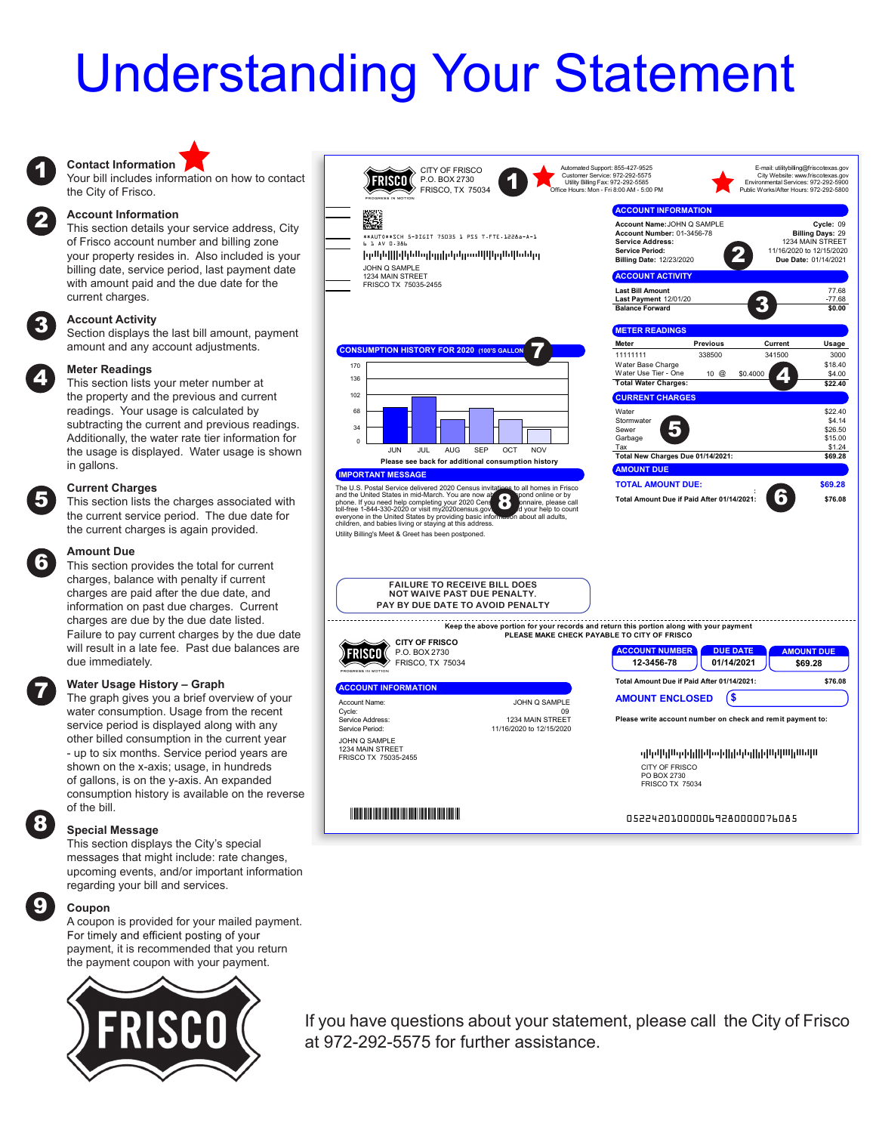# Understanding Your Statement

### **Contact Information**

the City of Frisco.

#### **Account Information**

This section details your service address, City of Frisco account number and billing zone your property resides in. Also included is your billing date, service period, last payment date with amount paid and the due date for the current charges.

#### **Account Activity**

Section displays the last bill amount, payment amount and any account adjustments.

#### **Meter Readings**

2

3

the property and the previous and current readings. Your usage is calculated by subtracting the current and previous readings. Additionally, the water rate tier information for the usage is displayed. Water usage is shown

#### in gallons. **Current Charges**

This section lists the charges associated with the current service period. The due date for the current charges is again provided.

## 6

5

7

8

9

**Amount Due**

This section provides the total for current charges, balance with penalty if current charges are paid after the due date, and information on past due charges. Current charges are due by the due date listed. Failure to pay current charges by the due date will result in a late fee. Past due balances are due immediately.

#### **Water Usage History – Graph**

The graph gives you a brief overview of your water consumption. Usage from the recent service period is displayed along with any other billed consumption in the current year - up to six months. Service period years are shown on the x-axis; usage, in hundreds of gallons, is on the y-axis. An expanded consumption history is available on the reverse of the bill.

#### **Special Message**

This section displays the City's special messages that might include: rate changes, upcoming events, and/or important information regarding your bill and services.

#### **Coupon**

A coupon is provided for your mailed payment. For timely and efficient posting of your payment, it is recommended that you return the payment coupon with your payment.





If you have questions about your statement, please call the City of Frisco at 972-292-5575 for further assistance.